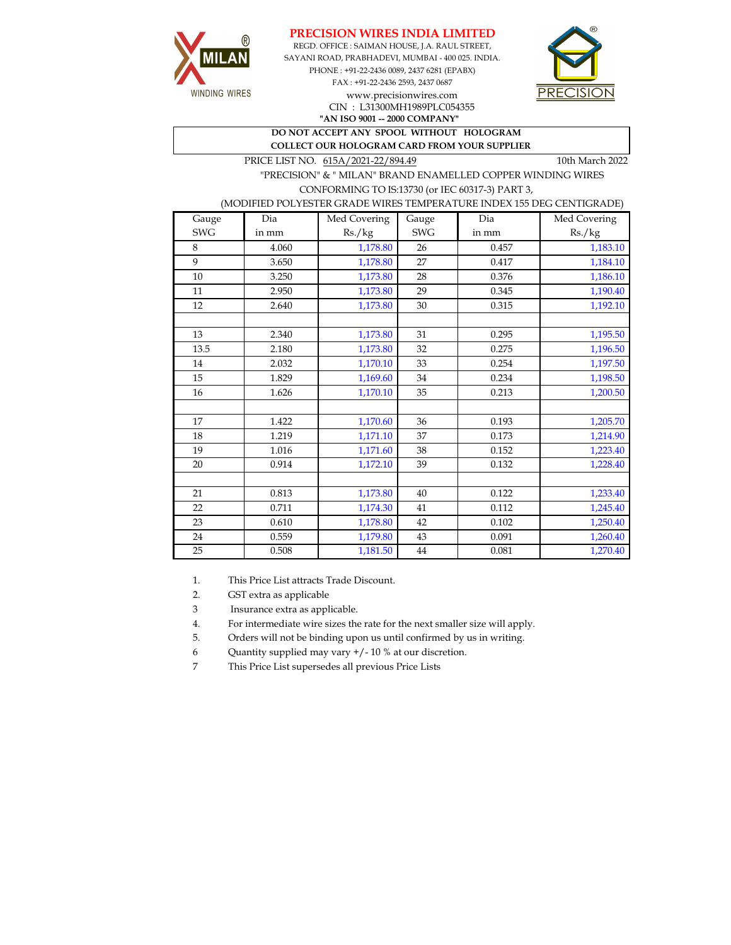



REGD. OFFICE : SAIMAN HOUSE, J.A. RAUL STREET, SAYANI ROAD, PRABHADEVI, MUMBAI - 400 025. INDIA. PHONE : +91-22-2436 0089, 2437 6281 (EPABX) FAX : +91-22-2436 2593, 2437 0687 www.precisionwires.com CIN : L31300MH1989PLC054355



**"AN ISO 9001 -- 2000 COMPANY" DO NOT ACCEPT ANY SPOOL WITHOUT HOLOGRAM COLLECT OUR HOLOGRAM CARD FROM YOUR SUPPLIER** 

PRICE LIST NO.  $615A/2021-22/894.49$  10th March 2022

 "PRECISION" & " MILAN" BRAND ENAMELLED COPPER WINDING WIRES CONFORMING TO IS:13730 (or IEC 60317-3) PART 3,

(MODIFIED POLYESTER GRADE WIRES TEMPERATURE INDEX 155 DEG CENTIGRADE)

| Gauge      | Dia   | Med Covering | Gauge      | Dia   | Med Covering |
|------------|-------|--------------|------------|-------|--------------|
| <b>SWG</b> | in mm | Rs./kg       | <b>SWG</b> | in mm | Rs./kg       |
| 8          | 4.060 | 1,178.80     | 26         | 0.457 | 1,183.10     |
| 9          | 3.650 | 1,178.80     | 27         | 0.417 | 1,184.10     |
| 10         | 3.250 | 1,173.80     | 28         | 0.376 | 1,186.10     |
| 11         | 2.950 | 1,173.80     | 29         | 0.345 | 1,190.40     |
| 12         | 2.640 | 1,173.80     | 30         | 0.315 | 1,192.10     |
|            |       |              |            |       |              |
| 13         | 2.340 | 1,173.80     | 31         | 0.295 | 1,195.50     |
| 13.5       | 2.180 | 1,173.80     | 32         | 0.275 | 1,196.50     |
| 14         | 2.032 | 1,170.10     | 33         | 0.254 | 1,197.50     |
| 15         | 1.829 | 1,169.60     | $34\,$     | 0.234 | 1,198.50     |
| 16         | 1.626 | 1,170.10     | 35         | 0.213 | 1,200.50     |
|            |       |              |            |       |              |
| 17         | 1.422 | 1,170.60     | 36         | 0.193 | 1,205.70     |
| 18         | 1.219 | 1,171.10     | 37         | 0.173 | 1,214.90     |
| 19         | 1.016 | 1,171.60     | 38         | 0.152 | 1,223.40     |
| 20         | 0.914 | 1,172.10     | 39         | 0.132 | 1,228.40     |
|            |       |              |            |       |              |
| 21         | 0.813 | 1,173.80     | 40         | 0.122 | 1,233.40     |
| 22         | 0.711 | 1,174.30     | 41         | 0.112 | 1,245.40     |
| 23         | 0.610 | 1,178.80     | 42         | 0.102 | 1,250.40     |
| 24         | 0.559 | 1,179.80     | 43         | 0.091 | 1,260.40     |
| 25         | 0.508 | 1,181.50     | $44\,$     | 0.081 | 1,270.40     |

1. This Price List attracts Trade Discount.

2. GST extra as applicable

3 Insurance extra as applicable.

4. For intermediate wire sizes the rate for the next smaller size will apply.

5. Orders will not be binding upon us until confirmed by us in writing.

6 Quantity supplied may vary +/- 10 % at our discretion.

7 This Price List supersedes all previous Price Lists